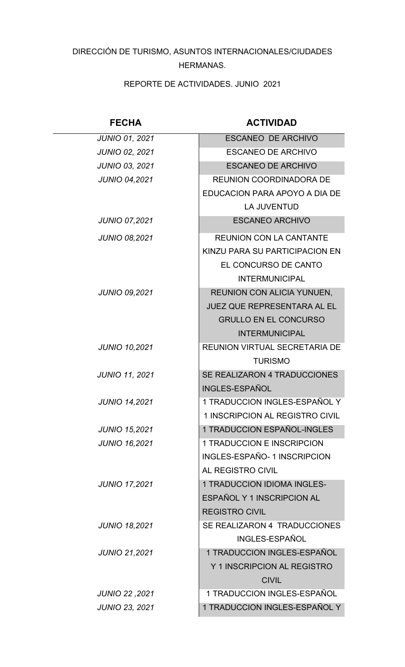## DIRECCIÓN DE TURISMO, ASUNTOS INTERNACIONALES/CIUDADES HERMANAS.

REPORTE DE ACTIVIDADES. JUNIO 2021

| <b>FECHA</b>          | <b>ACTIVIDAD</b>                      |
|-----------------------|---------------------------------------|
| <b>JUNIO 01, 2021</b> | <b>ESCANEO DE ARCHIVO</b>             |
| <b>JUNIO 02, 2021</b> | <b>ESCANEO DE ARCHIVO</b>             |
| <b>JUNIO 03, 2021</b> | <b>ESCANEO DE ARCHIVO</b>             |
| <b>JUNIO 04,2021</b>  | <b>REUNION COORDINADORA DE</b>        |
|                       | EDUCACION PARA APOYO A DIA DE         |
|                       | <b>LA JUVENTUD</b>                    |
| <b>JUNIO 07,2021</b>  | <b>ESCANEO ARCHIVO</b>                |
| <b>JUNIO 08,2021</b>  | <b>REUNION CON LA CANTANTE</b>        |
|                       | <b>KINZU PARA SU PARTICIPACION EN</b> |
|                       | EL CONCURSO DE CANTO                  |
|                       | <b>INTERMUNICIPAL</b>                 |
| <b>JUNIO 09,2021</b>  | REUNION CON ALICIA YUNUEN,            |
|                       | JUEZ QUE REPRESENTARA AL EL           |
|                       | <b>GRULLO EN EL CONCURSO</b>          |
|                       | <b>INTERMUNICIPAL</b>                 |
| <b>JUNIO 10,2021</b>  | REUNION VIRTUAL SECRETARIA DE         |
|                       | <b>TURISMO</b>                        |
| <b>JUNIO 11, 2021</b> | SE REALIZARON 4 TRADUCCIONES          |
|                       | <b>INGLES-ESPAÑOL</b>                 |
| <b>JUNIO 14,2021</b>  | 1 TRADUCCION INGLES-ESPAÑOL Y         |
|                       | 1 INSCRIPCION AL REGISTRO CIVIL       |
| <b>JUNIO 15,2021</b>  | 1 TRADUCCION ESPAÑOL-INGLES           |
| <b>JUNIO 16,2021</b>  | 1 TRADUCCION E INSCRIPCION            |
|                       | INGLES-ESPAÑO- 1 INSCRIPCION          |
|                       | AL REGISTRO CIVIL                     |
| <b>JUNIO 17,2021</b>  | <b>1 TRADUCCION IDIOMA INGLES-</b>    |
|                       | ESPAÑOL Y 1 INSCRIPCION AL            |
|                       | <b>REGISTRO CIVIL</b>                 |
| <b>JUNIO 18,2021</b>  | SE REALIZARON 4 TRADUCCIONES          |
|                       | INGLES-ESPAÑOL                        |
| <b>JUNIO 21,2021</b>  | 1 TRADUCCION INGLES-ESPAÑOL           |
|                       | Y 1 INSCRIPCION AL REGISTRO           |
|                       | <b>CIVIL</b>                          |
| JUNIO 22, 2021        | 1 TRADUCCION INGLES-ESPAÑOL           |
| <b>JUNIO 23, 2021</b> | 1 TRADUCCION INGLES-ESPAÑOL Y         |